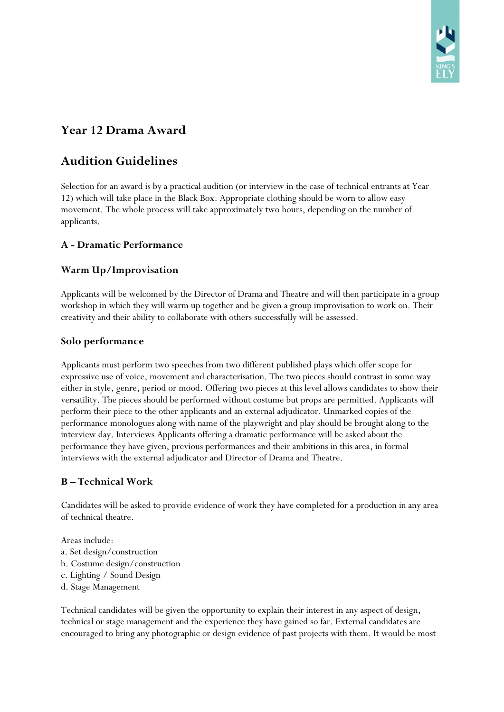

# **Year 12 Drama Award**

# **Audition Guidelines**

Selection for an award is by a practical audition (or interview in the case of technical entrants at Year 12) which will take place in the Black Box. Appropriate clothing should be worn to allow easy movement. The whole process will take approximately two hours, depending on the number of applicants.

## **A - Dramatic Performance**

## **Warm Up/Improvisation**

Applicants will be welcomed by the Director of Drama and Theatre and will then participate in a group workshop in which they will warm up together and be given a group improvisation to work on. Their creativity and their ability to collaborate with others successfully will be assessed.

#### **Solo performance**

Applicants must perform two speeches from two different published plays which offer scope for expressive use of voice, movement and characterisation. The two pieces should contrast in some way either in style, genre, period or mood. Offering two pieces at this level allows candidates to show their versatility. The pieces should be performed without costume but props are permitted. Applicants will perform their piece to the other applicants and an external adjudicator. Unmarked copies of the performance monologues along with name of the playwright and play should be brought along to the interview day. Interviews Applicants offering a dramatic performance will be asked about the performance they have given, previous performances and their ambitions in this area, in formal interviews with the external adjudicator and Director of Drama and Theatre.

### **B – Technical Work**

Candidates will be asked to provide evidence of work they have completed for a production in any area of technical theatre.

Areas include:

- a. Set design/construction
- b. Costume design/construction
- c. Lighting / Sound Design
- d. Stage Management

Technical candidates will be given the opportunity to explain their interest in any aspect of design, technical or stage management and the experience they have gained so far. External candidates are encouraged to bring any photographic or design evidence of past projects with them. It would be most